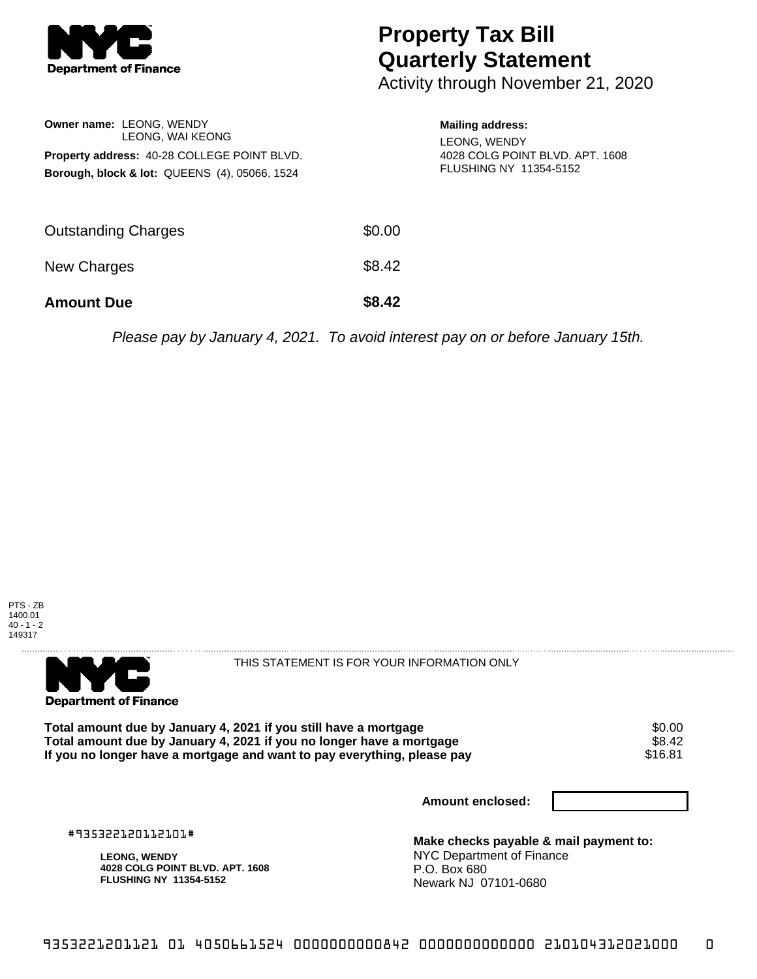

## **Property Tax Bill Quarterly Statement**

Activity through November 21, 2020

| <b>Owner name: LEONG, WENDY</b><br>LEONG, WAI KEONG<br>Property address: 40-28 COLLEGE POINT BLVD.<br><b>Borough, block &amp; lot: QUEENS (4), 05066, 1524</b> |        | <b>Mailing address:</b><br>LEONG, WENDY<br>4028 COLG POINT BLVD, APT, 1608<br>FLUSHING NY 11354-5152 |
|----------------------------------------------------------------------------------------------------------------------------------------------------------------|--------|------------------------------------------------------------------------------------------------------|
| <b>Outstanding Charges</b>                                                                                                                                     | \$0.00 |                                                                                                      |
| New Charges                                                                                                                                                    | \$8.42 |                                                                                                      |
| <b>Amount Due</b>                                                                                                                                              | \$8.42 |                                                                                                      |

Please pay by January 4, 2021. To avoid interest pay on or before January 15th.





THIS STATEMENT IS FOR YOUR INFORMATION ONLY

**Total amount due by January 4, 2021 if you still have a mortgage**  $$6.00$ **<br>Total amount due by January 4, 2021 if you no longer have a mortgage**  $$8.42$ Total amount due by January 4, 2021 if you no longer have a mortgage **\$8.42** \$8.42<br>If you no longer have a mortgage and want to pay everything, please pay If you no longer have a mortgage and want to pay everything, please pay

**Amount enclosed:**

#935322120112101#

**LEONG, WENDY 4028 COLG POINT BLVD. APT. 1608 FLUSHING NY 11354-5152**

**Make checks payable & mail payment to:** NYC Department of Finance P.O. Box 680 Newark NJ 07101-0680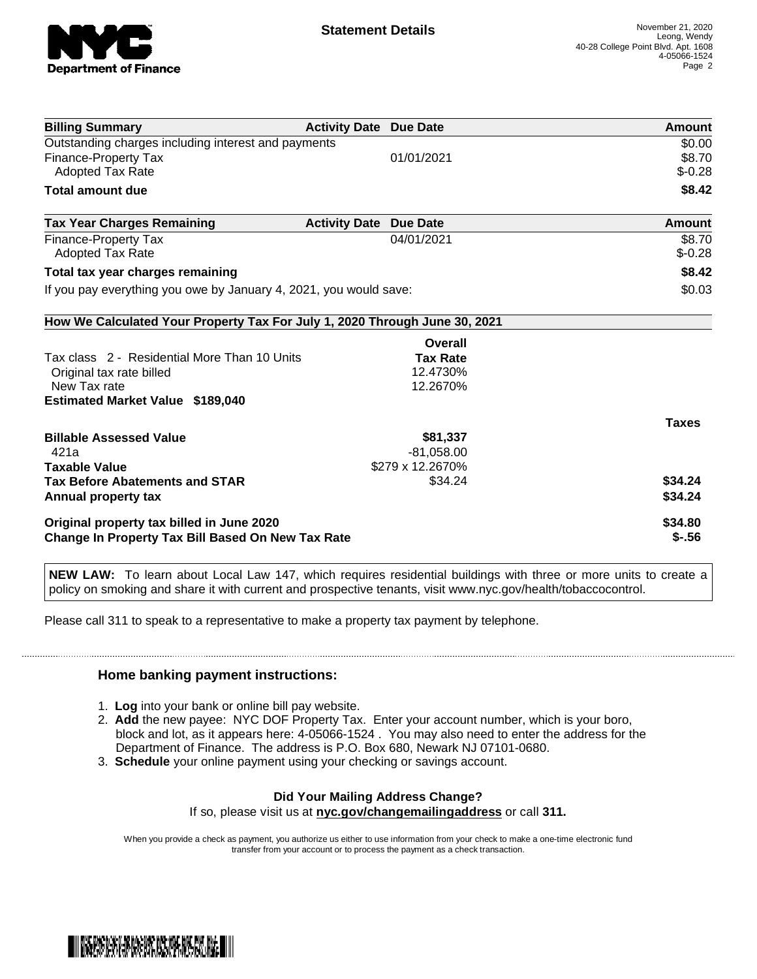

| <b>Billing Summary</b>                                                     | <b>Activity Date Due Date</b> |                  | Amount       |
|----------------------------------------------------------------------------|-------------------------------|------------------|--------------|
| Outstanding charges including interest and payments                        |                               |                  | \$0.00       |
| Finance-Property Tax                                                       |                               | 01/01/2021       | \$8.70       |
| <b>Adopted Tax Rate</b>                                                    |                               |                  | $$-0.28$     |
| <b>Total amount due</b>                                                    |                               |                  | \$8.42       |
| <b>Tax Year Charges Remaining</b>                                          | <b>Activity Date</b>          | <b>Due Date</b>  | Amount       |
| <b>Finance-Property Tax</b>                                                |                               | 04/01/2021       | \$8.70       |
| <b>Adopted Tax Rate</b>                                                    |                               |                  | $$-0.28$     |
| Total tax year charges remaining                                           |                               |                  | \$8.42       |
| If you pay everything you owe by January 4, 2021, you would save:          |                               |                  | \$0.03       |
| How We Calculated Your Property Tax For July 1, 2020 Through June 30, 2021 |                               |                  |              |
|                                                                            |                               | Overall          |              |
| Tax class 2 - Residential More Than 10 Units                               |                               | <b>Tax Rate</b>  |              |
| Original tax rate billed                                                   |                               | 12.4730%         |              |
| New Tax rate                                                               |                               | 12.2670%         |              |
| <b>Estimated Market Value \$189,040</b>                                    |                               |                  |              |
|                                                                            |                               |                  | <b>Taxes</b> |
| <b>Billable Assessed Value</b>                                             |                               | \$81,337         |              |
| 421a                                                                       |                               | $-81,058.00$     |              |
| <b>Taxable Value</b>                                                       |                               | \$279 x 12.2670% |              |
| <b>Tax Before Abatements and STAR</b>                                      |                               | \$34.24          | \$34.24      |
| Annual property tax                                                        |                               |                  | \$34.24      |
| Original property tax billed in June 2020                                  |                               |                  | \$34.80      |
| <b>Change In Property Tax Bill Based On New Tax Rate</b>                   |                               |                  | $$-.56$      |

**NEW LAW:** To learn about Local Law 147, which requires residential buildings with three or more units to create a policy on smoking and share it with current and prospective tenants, visit www.nyc.gov/health/tobaccocontrol.

Please call 311 to speak to a representative to make a property tax payment by telephone.

## **Home banking payment instructions:**

- 1. **Log** into your bank or online bill pay website.
- 2. **Add** the new payee: NYC DOF Property Tax. Enter your account number, which is your boro, block and lot, as it appears here: 4-05066-1524 . You may also need to enter the address for the Department of Finance. The address is P.O. Box 680, Newark NJ 07101-0680.
- 3. **Schedule** your online payment using your checking or savings account.

## **Did Your Mailing Address Change?**

If so, please visit us at **nyc.gov/changemailingaddress** or call **311.**

When you provide a check as payment, you authorize us either to use information from your check to make a one-time electronic fund transfer from your account or to process the payment as a check transaction.